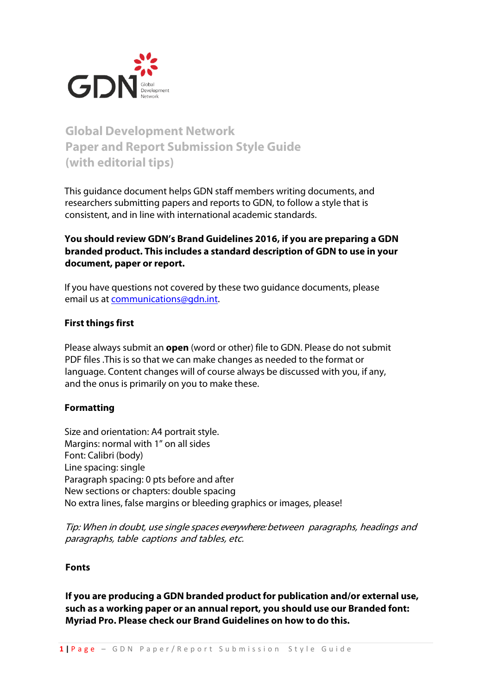

# **Global Development Network Paper and Report Submission Style Guide (with editorial tips)**

This guidance document helps GDN staff members writing documents, and researchers submitting papers and reports to GDN, to follow a style that is consistent, and in line with international academic standards.

## **You should review GDN's Brand Guidelines 2016, if you are preparing a GDN branded product. This includes a standard description of GDN to use in your document, paper or report.**

If you have questions not covered by these two guidance documents, please email us at [communications@gdn.int.](mailto:communications@gdn.int)

## **First things first**

Please always submit an **open** (word or other) file to GDN. Please do not submit PDF files .This is so that we can make changes as needed to the format or language. Content changes will of course always be discussed with you, if any, and the onus is primarily on you to make these.

## **Formatting**

Size and orientation: A4 portrait style. Margins: normal with 1" on all sides Font: Calibri (body) Line spacing: single Paragraph spacing: 0 pts before and after New sections or chapters: double spacing No extra lines, false margins or bleeding graphics or images, please!

Tip: When in doubt, use single spaces everywhere: between paragraphs, headings and paragraphs, table captions and tables, etc.

## **Fonts**

**If you are producing a GDN branded product for publication and/or external use, such as a working paper or an annual report, you should use our Branded font: Myriad Pro. Please check our Brand Guidelines on how to do this.**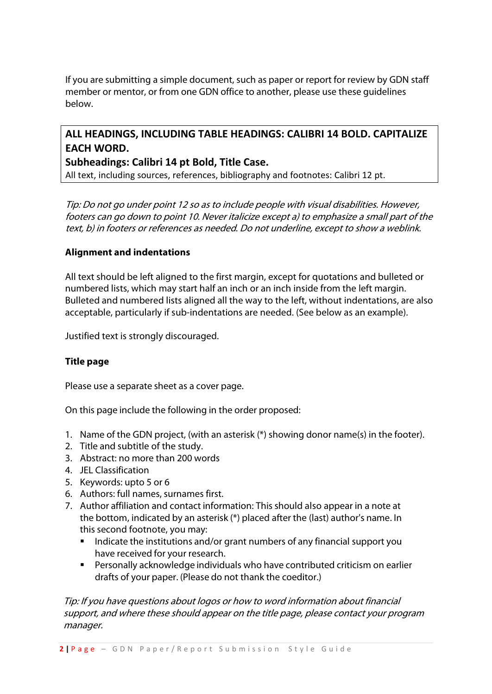If you are submitting a simple document, such as paper or report for review by GDN staff member or mentor, or from one GDN office to another, please use these guidelines below.

## **ALL HEADINGS, INCLUDING TABLE HEADINGS: CALIBRI 14 BOLD. CAPITALIZE EACH WORD.**

## **Subheadings: Calibri 14 pt Bold, Title Case.**

All text, including sources, references, bibliography and footnotes: Calibri 12 pt.

Tip: Do not go under point 12 so as to include people with visual disabilities. However, footers can go down to point 10. Never italicize except a) to emphasize a small part of the text, b) in footers or references as needed. Do not underline, except to show a weblink.

## **Alignment and indentations**

All text should be left aligned to the first margin, except for quotations and bulleted or numbered lists, which may start half an inch or an inch inside from the left margin. Bulleted and numbered lists aligned all the way to the left, without indentations, are also acceptable, particularly if sub-indentations are needed. (See below as an example).

Justified text is strongly discouraged.

## **Title page**

Please use a separate sheet as a cover page.

On this page include the following in the order proposed:

- 1. Name of the GDN project, (with an asterisk (\*) showing donor name(s) in the footer).
- 2. Title and subtitle of the study.
- 3. Abstract: no more than 200 words
- 4. JEL Classification
- 5. Keywords: upto 5 or 6
- 6. Authors: full names, surnames first.
- 7. Author affiliation and contact information: This should also appear in a note at the bottom, indicated by an asterisk (\*) placed after the (last) author's name. In this second footnote, you may:
	- Indicate the institutions and/or grant numbers of any financial support you have received for your research.
	- Personally acknowledge individuals who have contributed criticism on earlier drafts of your paper. (Please do not thank the coeditor.)

 Tip: If you have questions about logos or how to word information about financial support, and where these should appear on the title page, please contact your program manager.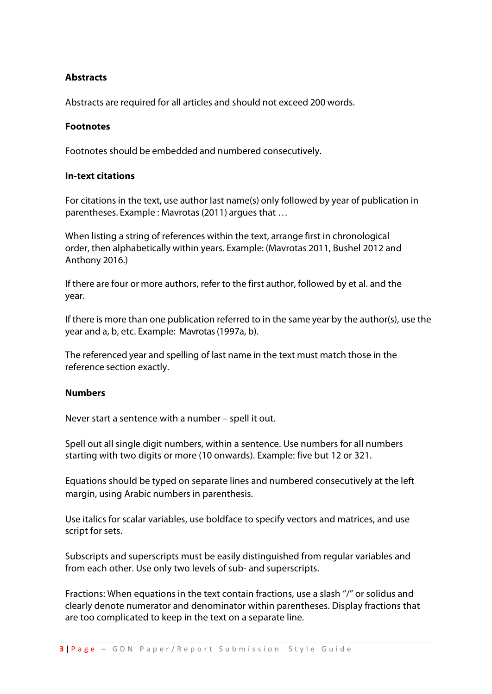## **Abstracts**

Abstracts are required for all articles and should not exceed 200 words.

#### **Footnotes**

Footnotes should be embedded and numbered consecutively.

#### **In-text citations**

For citations in the text, use author last name(s) only followed by year of publication in parentheses. Example : Mavrotas (2011) argues that ...

When listing a string of references within the text, arrange first in chronological order, then alphabetically within years. Example: (Mavrotas 2011, Bushel 2012 and Anthony 2016.)

If there are four or more authors, refer to the first author, followed by et al. and the year.

If there is more than one publication referred to in the same year by the author(s), use the year and a, b, etc. Example: Mavrotas (1997a, b).

The referenced year and spelling of last name in the text must match those in the reference section exactly.

#### **Numbers**

Never start a sentence with a number – spell it out.

Spell out all single digit numbers, within a sentence. Use numbers for all numbers starting with two digits or more (10 onwards). Example: five but 12 or 321.

Equations should be typed on separate lines and numbered consecutively at the left margin, using Arabic numbers in parenthesis.

Use italics for scalar variables, use boldface to specify vectors and matrices, and use script for sets.

Subscripts and superscripts must be easily distinguished from regular variables and from each other. Use only two levels of sub- and superscripts.

Fractions: When equations in the text contain fractions, use a slash "/" or solidus and clearly denote numerator and denominator within parentheses. Display fractions that are too complicated to keep in the text on a separate line.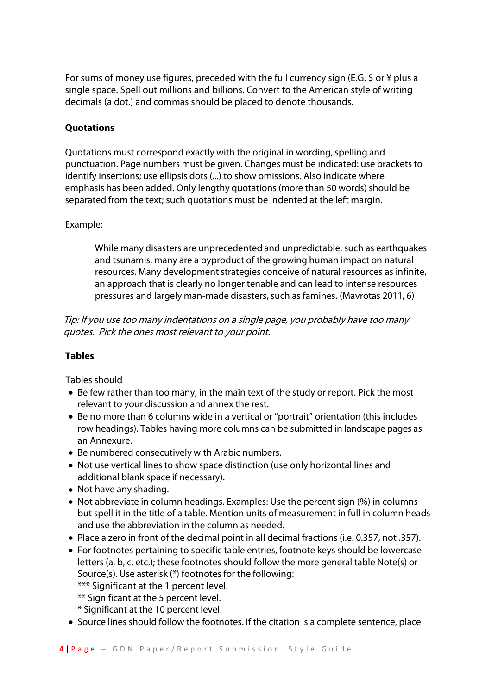For sums of money use figures, preceded with the full currency sign (E.G. \$ or ¥ plus a single space. Spell out millions and billions. Convert to the American style of writing decimals (a dot.) and commas should be placed to denote thousands.

## **Quotations**

Quotations must correspond exactly with the original in wording, spelling and punctuation. Page numbers must be given. Changes must be indicated: use brackets to identify insertions; use ellipsis dots (...) to show omissions. Also indicate where emphasis has been added. Only lengthy quotations (more than 50 words) should be separated from the text; such quotations must be indented at the left margin.

## Example:

While many disasters are unprecedented and unpredictable, such as earthquakes and tsunamis, many are a byproduct of the growing human impact on natural resources. Many development strategies conceive of natural resources as infinite, an approach that is clearly no longer tenable and can lead to intense resources pressures and largely man-made disasters, such as famines. (Mavrotas 2011, 6)

 Tip: If you use too many indentations on a single page, you probably have too many quotes. Pick the ones most relevant to your point.

## **Tables**

Tables should

- Be few rather than too many, in the main text of the study or report. Pick the most relevant to your discussion and annex the rest.
- Be no more than 6 columns wide in a vertical or "portrait" orientation (this includes row headings). Tables having more columns can be submitted in landscape pages as an Annexure.
- Be numbered consecutively with Arabic numbers.
- Not use vertical lines to show space distinction (use only horizontal lines and additional blank space if necessary).
- Not have any shading.
- Not abbreviate in column headings. Examples: Use the percent sign (%) in columns but spell it in the title of a table. Mention units of measurement in full in column heads and use the abbreviation in the column as needed.
- Place a zero in front of the decimal point in all decimal fractions (i.e. 0.357, not .357).
- For footnotes pertaining to specific table entries, footnote keys should be lowercase letters (a, b, c, etc.); these footnotes should follow the more general table Note(s) or Source(s). Use asterisk (\*) footnotes for the following:
	- \*\*\* Significant at the 1 percent level.
	- \*\* Significant at the 5 percent level.
	- \* Significant at the 10 percent level.
- Source lines should follow the footnotes. If the citation is a complete sentence, place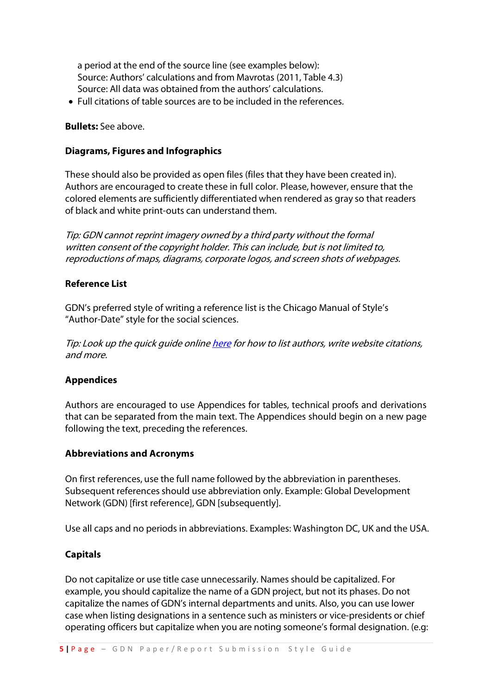a period at the end of the source line (see examples below): Source: Authors' calculations and from Mavrotas (2011, Table 4.3) Source: All data was obtained from the authors' calculations.

• Full citations of table sources are to be included in the references.

#### **Bullets:** See above.

## **Diagrams, Figures and Infographics**

These should also be provided as open files (files that they have been created in). Authors are encouraged to create these in full color. Please, however, ensure that the colored elements are sufficiently differentiated when rendered as gray so that readers of black and white print-outs can understand them.

Tip: GDN cannot reprint imagery owned by a third party without the formal written consent of the copyright holder. This can include, but is not limited to, reproductions of maps, diagrams, corporate logos, and screen shots of webpages.

## **Reference List**

GDN's preferred style of writing a reference list is the Chicago Manual of Style's "Author-Date" style for the social sciences.

Tip: Look up the quick guide online [here](http://www.chicagomanualofstyle.org/tools_citationguide.html) for how to list authors, write website citations, and more.

#### **Appendices**

Authors are encouraged to use Appendices for tables, technical proofs and derivations that can be separated from the main text. The Appendices should begin on a new page following the text, preceding the references.

#### **Abbreviations and Acronyms**

On first references, use the full name followed by the abbreviation in parentheses. Subsequent references should use abbreviation only. Example: Global Development Network (GDN) [first reference], GDN [subsequently].

Use all caps and no periods in abbreviations. Examples: Washington DC, UK and the USA.

#### **Capitals**

Do not capitalize or use title case unnecessarily. Names should be capitalized. For example, you should capitalize the name of a GDN project, but not its phases. Do not capitalize the names of GDN's internal departments and units. Also, you can use lower case when listing designations in a sentence such as ministers or vice-presidents or chief operating officers but capitalize when you are noting someone's formal designation. (e.g: